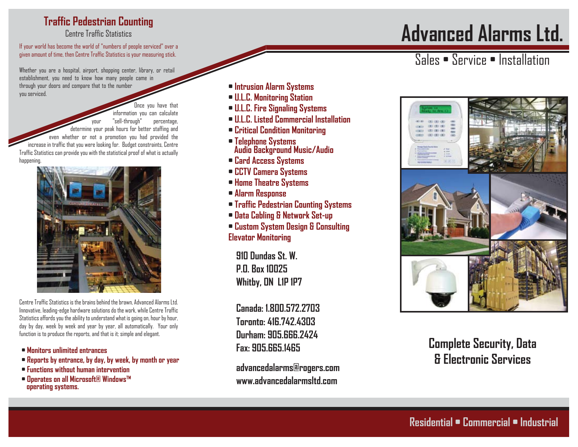#### **Traffic Pedestrian Counting**

Centre Traffic Statistics

If your world has become the world of "numbers of people serviced" over a given amount of time, then Centre Traffic Statistics is your measuring stick.

Whether you are a hospital, airport, shopping center, library, or retail establishment, you need to know how many people came in through your doors and compare that to the number you serviced.

Jnce you have that information you can calculate your "sell-through" percentage, determine your peak hours for better staffing and even whether or not a promotion you had provided the increase in traffic that you were looking for. Budget constraints, Centre Traffic Statistics can provide you with the statistical proof of what is actually **happening** 



Centre Traffic Statistics is the brains behind the brawn, Advanced Alarms Ltd. Innovative, leading-edge hardware solutions do the work, while Centre Traffic Statistics affords you the ability to understand what is going on, hour by hour, day by day, week by week and year by year, all automatically. Your only function is to produce the reports, and that is it; simple and elegant.

- **• Monitors unlimited entrances**
- **• Reports by entrance, by day, by week, by month or year**
- **• Functions without human intervention**
- **• Operates on all Microsoft® Windows™ operating systems.**
- **Intrusion Alarm Systems**
- **U.L.C. Monitoring Station**
- **U.L.C. Fire Signaling Systems**
- **U.L.C. Listed Commercial Installation**
- **Critical Condition Monitoring**
- **Telephone Systems Audio Background Music/Audio**
- **Card Access Systems**
- **CCTV Camera Systems**
- **Home Theatre Systems**
- **Alarm Response**
- **Traffic Pedestrian Counting Systems**
- **Data Cabling & Network Set-up**
- **Custom System Design & Consulting Elevator Monitoring**

**910 Dundas St. W. P.O. Box 10025 Whitby, ON L1P 1P7**

**Canada: 1.800.572.2703 Toronto: 416.742.4303 Durham: 905.666.2424 Fax: 905.665.1465**

**advancedalarms@rogers.com www.advancedalarmsltd.com**

# **Advanced Alarms Ltd.**

#### Sales • Service • Installation



**Complete Security, Data & Electronic Services**